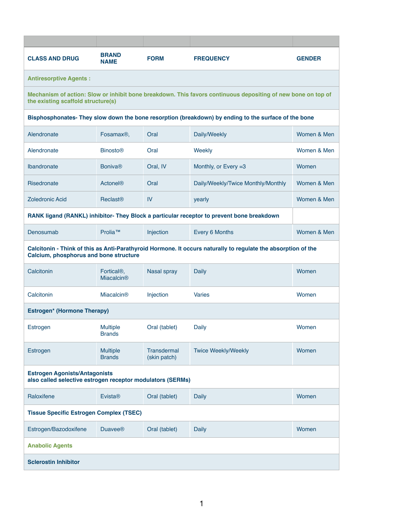| <b>CLASS AND DRUG</b>                                                                                                                                          | <b>BRAND</b><br><b>NAME</b>                  | <b>FORM</b>                        | <b>FREQUENCY</b>                   | <b>GENDER</b> |  |  |  |
|----------------------------------------------------------------------------------------------------------------------------------------------------------------|----------------------------------------------|------------------------------------|------------------------------------|---------------|--|--|--|
| <b>Antiresorptive Agents:</b>                                                                                                                                  |                                              |                                    |                                    |               |  |  |  |
| Mechanism of action: Slow or inhibit bone breakdown. This favors continuous depositing of new bone on top of<br>the existing scaffold structure(s)             |                                              |                                    |                                    |               |  |  |  |
| Bisphosphonates- They slow down the bone resorption (breakdown) by ending to the surface of the bone                                                           |                                              |                                    |                                    |               |  |  |  |
| Alendronate                                                                                                                                                    | Fosamax <sup>®</sup> ,                       | Oral                               | Daily/Weekly                       | Women & Men   |  |  |  |
| Alendronate                                                                                                                                                    | <b>Binosto®</b>                              | Oral                               | Weekly                             | Women & Men   |  |  |  |
| Ibandronate                                                                                                                                                    | <b>Boniva®</b>                               | Oral, IV                           | Monthly, or Every =3               | Women         |  |  |  |
| Risedronate                                                                                                                                                    | <b>Actonel®</b>                              | Oral                               | Daily/Weekly/Twice Monthly/Monthly | Women & Men   |  |  |  |
| <b>Zoledronic Acid</b>                                                                                                                                         | <b>Reclast<sup>®</sup></b>                   | IV                                 | yearly                             | Women & Men   |  |  |  |
| RANK ligand (RANKL) inhibitor- They Block a particular receptor to prevent bone breakdown                                                                      |                                              |                                    |                                    |               |  |  |  |
| Denosumab                                                                                                                                                      | Prolia™                                      | Injection                          | Every 6 Months                     | Women & Men   |  |  |  |
| Calcitonin - Think of this as Anti-Parathyroid Hormone. It occurs naturally to regulate the absorption of the<br><b>Calcium, phosphorus and bone structure</b> |                                              |                                    |                                    |               |  |  |  |
| Calcitonin                                                                                                                                                     | Fortical <sup>®</sup> ,<br><b>Miacalcin®</b> | <b>Nasal spray</b>                 | <b>Daily</b>                       | Women         |  |  |  |
| Calcitonin                                                                                                                                                     | <b>Miacalcin®</b>                            | Injection                          | <b>Varies</b>                      | Women         |  |  |  |
| <b>Estrogen* (Hormone Therapy)</b>                                                                                                                             |                                              |                                    |                                    |               |  |  |  |
| <b>Estrogen</b>                                                                                                                                                | <b>Multiple</b><br><b>Brands</b>             | Oral (tablet)                      | <b>Daily</b>                       | Women         |  |  |  |
| <b>Estrogen</b>                                                                                                                                                | <b>Multiple</b><br><b>Brands</b>             | <b>Transdermal</b><br>(skin patch) | <b>Twice Weekly/Weekly</b>         | Women         |  |  |  |
| <b>Estrogen Agonists/Antagonists</b><br>also called selective estrogen receptor modulators (SERMs)                                                             |                                              |                                    |                                    |               |  |  |  |
| Raloxifene                                                                                                                                                     | <b>Evista®</b>                               | Oral (tablet)                      | <b>Daily</b>                       | Women         |  |  |  |
| <b>Tissue Specific Estrogen Complex (TSEC)</b>                                                                                                                 |                                              |                                    |                                    |               |  |  |  |
| Estrogen/Bazodoxifene                                                                                                                                          | <b>Duavee®</b>                               | Oral (tablet)                      | <b>Daily</b>                       | Women         |  |  |  |
| <b>Anabolic Agents</b>                                                                                                                                         |                                              |                                    |                                    |               |  |  |  |
| <b>Sclerostin Inhibitor</b>                                                                                                                                    |                                              |                                    |                                    |               |  |  |  |